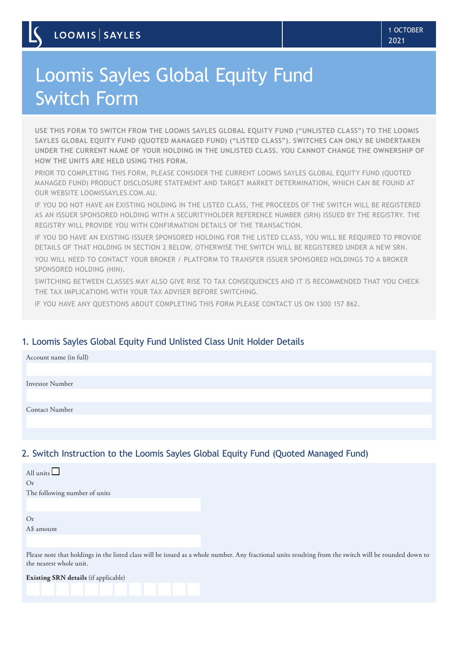# Loomis Sayles Global Equity Fund Switch Form

**USE THIS FORM TO SWITCH FROM THE LOOMIS SAYLES GLOBAL EQUITY FUND ("UNLISTED CLASS") TO THE LOOMIS SAYLES GLOBAL EQUITY FUND (QUOTED MANAGED FUND) ("LISTED CLASS"). SWITCHES CAN ONLY BE UNDERTAKEN UNDER THE CURRENT NAME OF YOUR HOLDING IN THE UNLISTED CLASS. YOU CANNOT CHANGE THE OWNERSHIP OF HOW THE UNITS ARE HELD USING THIS FORM.** 

PRIOR TO COMPLETING THIS FORM, PLEASE CONSIDER THE CURRENT LOOMIS SAYLES GLOBAL EQUITY FUND (QUOTED MANAGED FUND) PRODUCT DISCLOSURE STATEMENT AND TARGET MARKET DETERMINATION, WHICH CAN BE FOUND AT OUR WEBSITE LOOMISSAYLES.COM.AU.

IF YOU DO NOT HAVE AN EXISTING HOLDING IN THE LISTED CLASS, THE PROCEEDS OF THE SWITCH WILL BE REGISTERED AS AN ISSUER SPONSORED HOLDING WITH A SECURITYHOLDER REFERENCE NUMBER (SRN) ISSUED BY THE REGISTRY. THE REGISTRY WILL PROVIDE YOU WITH CONFIRMATION DETAILS OF THE TRANSACTION.

IF YOU DO HAVE AN EXISTING ISSUER SPONSORED HOLDING FOR THE LISTED CLASS, YOU WILL BE REQUIRED TO PROVIDE DETAILS OF THAT HOLDING IN SECTION 2 BELOW, OTHERWISE THE SWITCH WILL BE REGISTERED UNDER A NEW SRN.

YOU WILL NEED TO CONTACT YOUR BROKER / PLATFORM TO TRANSFER ISSUER SPONSORED HOLDINGS TO A BROKER SPONSORED HOLDING (HIN).

SWITCHING BETWEEN CLASSES MAY ALSO GIVE RISE TO TAX CONSEQUENCES AND IT IS RECOMMENDED THAT YOU CHECK THE TAX IMPLICATIONS WITH YOUR TAX ADVISER BEFORE SWITCHING.

IF YOU HAVE ANY QUESTIONS ABOUT COMPLETING THIS FORM PLEASE CONTACT US ON 1300 157 862.

# 1. Loomis Sayles Global Equity Fund Unlisted Class Unit Holder Details

| Account name (in full) |  |
|------------------------|--|
|                        |  |
| Investor Number        |  |
|                        |  |
| <b>Contact Number</b>  |  |
|                        |  |
|                        |  |

### 2. Switch Instruction to the Loomis Sayles Global Equity Fund (Quoted Managed Fund)

| All units                     |                                                                                                                                                        |
|-------------------------------|--------------------------------------------------------------------------------------------------------------------------------------------------------|
| O <sub>r</sub>                |                                                                                                                                                        |
| The following number of units |                                                                                                                                                        |
|                               |                                                                                                                                                        |
| Or                            |                                                                                                                                                        |
| A\$ amount                    |                                                                                                                                                        |
|                               |                                                                                                                                                        |
| the nearest whole unit.       | Please note that holdings in the listed class will be issued as a whole number. Any fractional units resulting from the switch will be rounded down to |

|  | <b>Existing SRN details</b> (if applicable) |  |  |
|--|---------------------------------------------|--|--|
|  |                                             |  |  |